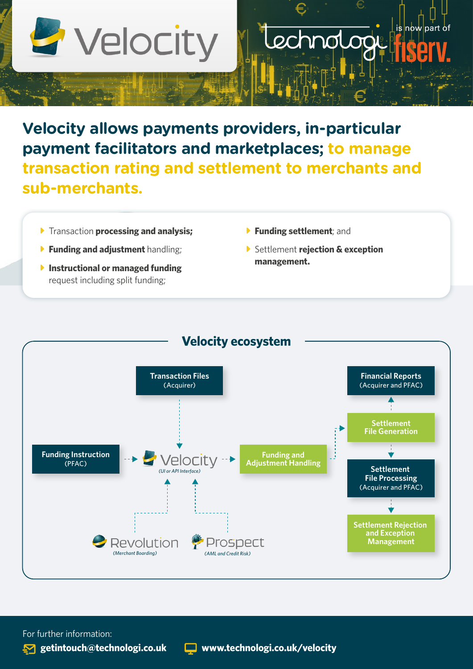

## **Velocity allows payments providers, in-particular payment facilitators and marketplaces; to manage transaction rating and settlement to merchants and sub-merchants.**

- **Figure-** Transaction **processing and analysis;**
- **Funding and adiustment** handling;
- **Instructional or managed funding** request including split funding;
- **Funding settlement**; and
- **C** Settlement *rejection & exception* **management.**

echnolo

is now part of



For further information: